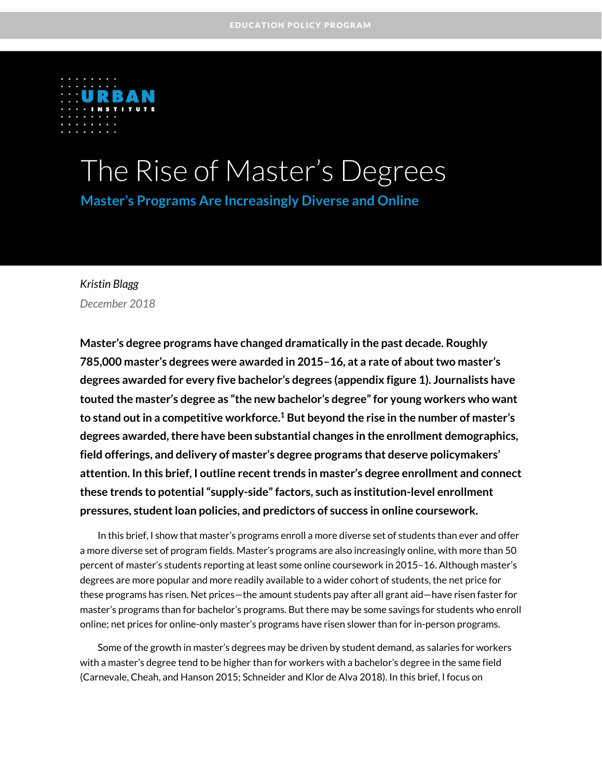

# The Rise of Master's Degrees

**Master's Programs Are Increasingly Diverse and Online**

### *Kristin Blagg December 2018*

**Master's degree programs have changed dramatically in the past decade. Roughly 785,000 master's degrees were awarded in 2015–16, at a rate of about two master's degrees awarded for every five bachelor's degrees (appendix figure 1). Journalists have touted the master's degree as "the new bachelor's degree"for young workers who want to stand out in a competitive workforce.<sup>1</sup> But beyond the rise in the number of master's degrees awarded, there have been substantial changes in the enrollment demographics, field offerings, and delivery of master's degree programs that deserve policymakers'**  attention. In this brief, I outline recent trends in master's degree enrollment and connect **these trends to potential "supply-side"factors, such as institution-level enrollment pressures, student loan policies, and predictors of success in online coursework.**

In this brief, I show that master's programs enroll a more diverse set of students than ever and offer a more diverse set of program fields. Master's programs are also increasingly online, with more than 50 percent of master's students reporting at least some online coursework in 2015–16. Although master's degrees are more popular and more readily available to a wider cohort of students, the net price for these programs has risen. Net prices—the amount students pay after all grant aid—have risen faster for master's programs than for bachelor's programs. But there may be some savings for students who enroll online; net prices for online-only master's programs have risen slower than for in-person programs.

Some of the growth in master's degrees may be driven by student demand, as salaries for workers with a master's degree tend to be higher than for workers with a bachelor's degree in the same field (Carnevale, Cheah, and Hanson 2015; Schneider and Klor de Alva 2018). In this brief, I focus on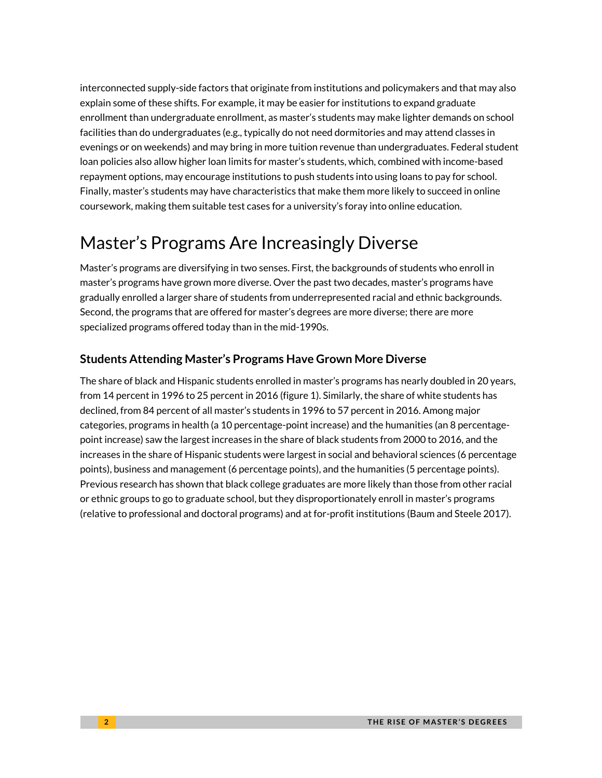interconnected supply-side factors that originate from institutions and policymakers and that may also explain some of these shifts. For example, it may be easier for institutions to expand graduate enrollment than undergraduate enrollment, as master's students may make lighter demands on school facilities than do undergraduates (e.g., typically do not need dormitories and may attend classes in evenings or on weekends) and may bring in more tuition revenue than undergraduates. Federal student loan policies also allow higher loan limits for master's students, which, combined with income-based repayment options, may encourage institutions to push students into using loans to pay for school. Finally, master's students may have characteristics that make them more likely to succeed in online coursework, making them suitable test cases for a university's foray into online education.

# Master's Programs Are Increasingly Diverse

Master's programs are diversifying in two senses. First, the backgrounds of students who enroll in master's programs have grown more diverse. Over the past two decades, master's programs have gradually enrolled a larger share of students from underrepresented racial and ethnic backgrounds. Second, the programs that are offered for master's degrees are more diverse; there are more specialized programs offered today than in the mid-1990s.

### **Students Attending Master's Programs Have Grown More Diverse**

The share of black and Hispanic students enrolled in master's programs has nearly doubled in 20 years, from 14 percent in 1996 to 25 percent in 2016 (figure 1). Similarly, the share of white students has declined, from 84 percent of all master's students in 1996 to 57 percent in 2016. Among major categories, programs in health (a 10 percentage-point increase) and the humanities (an 8 percentagepoint increase) saw the largest increases in the share of black students from 2000 to 2016, and the increases in the share of Hispanic students were largest in social and behavioral sciences (6 percentage points), business and management (6 percentage points), and the humanities (5 percentage points). Previous research has shown that black college graduates are more likely than those from other racial or ethnic groups to go to graduate school, but they disproportionately enroll in master's programs (relative to professional and doctoral programs) and at for-profit institutions (Baum and Steele 2017).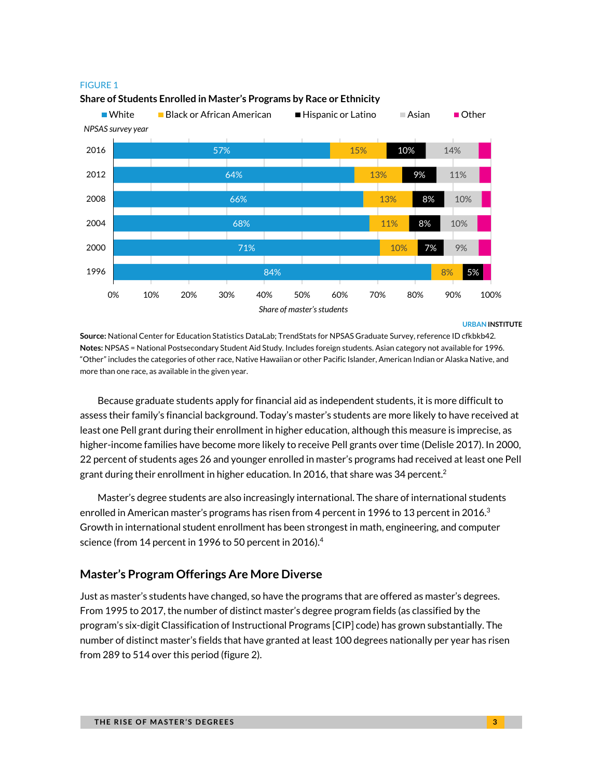

#### **Share of Students Enrolled in Master's Programs by Race or Ethnicity**

**URBAN INSTITUTE**

**Source:** National Center for Education Statistics DataLab; TrendStats for NPSAS Graduate Survey, reference ID cfkbkb42*.* **Notes:** NPSAS = National Postsecondary Student Aid Study. Includes foreign students. Asian category not available for 1996. "Other" includes the categories of other race, Native Hawaiian or other Pacific Islander, American Indian or Alaska Native, and more than one race, as available in the given year.

Because graduate students apply for financial aid as independent students, it is more difficult to assess their family's financial background. Today's master's students are more likely to have received at least one Pell grant during their enrollment in higher education, although this measure is imprecise, as higher-income families have become more likely to receive Pell grants over time (Delisle 2017). In 2000, 22 percent of students ages 26 and younger enrolled in master's programs had received at least one Pell grant during their enrollment in higher education. In 2016, that share was 34 percent.<sup>2</sup>

Master's degree students are also increasingly international. The share of international students enrolled in American master's programs has risen from 4 percent in 1996 to 13 percent in 2016. $^3$ Growth in international student enrollment has been strongest in math, engineering, and computer science (from 14 percent in 1996 to 50 percent in 2016). $4$ 

### **Master's Program Offerings Are More Diverse**

Just as master's students have changed, so have the programs that are offered as master's degrees. From 1995 to 2017, the number of distinct master's degree program fields (as classified by the program's six-digit Classification of Instructional Programs [CIP] code) has grown substantially. The number of distinct master's fields that have granted at least 100 degrees nationally per year has risen from 289 to 514 over this period (figure 2).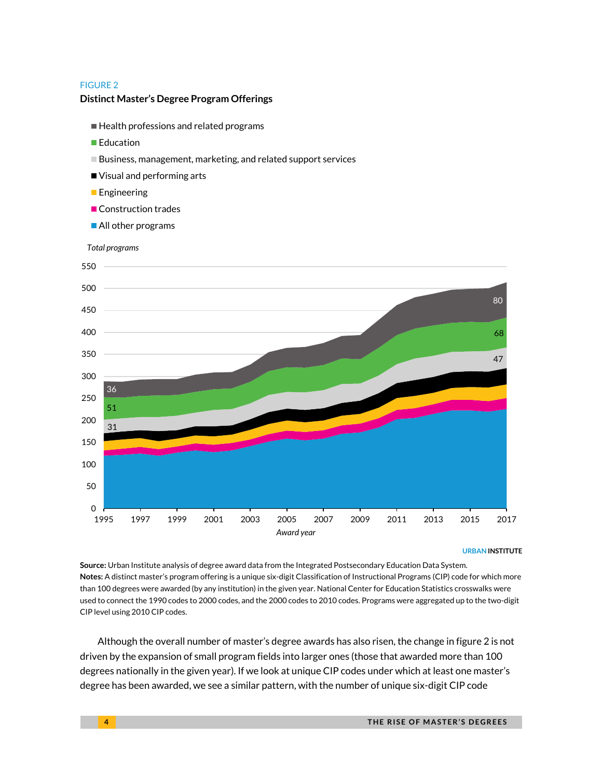#### **Distinct Master's Degree Program Offerings**

- Health professions and related programs
- **■**Education
- Business, management, marketing, and related support services
- Visual and performing arts
- **Engineering**
- **Construction trades**
- All other programs



**URBAN INSTITUTE**

**Source:** Urban Institute analysis of degree award data from the Integrated Postsecondary Education Data System. **Notes:** A distinct master's program offering is a unique six-digit Classification of Instructional Programs (CIP) code for which more than 100 degrees were awarded (by any institution) in the given year. National Center for Education Statistics crosswalks were used to connect the 1990 codes to 2000 codes, and the 2000 codes to 2010 codes. Programs were aggregated up to the two-digit CIP level using 2010 CIP codes.

Although the overall number of master's degree awards has also risen, the change in figure 2 is not driven by the expansion of small program fields into larger ones (those that awarded more than 100 degrees nationally in the given year). If we look at unique CIP codes under which at least one master's degree has been awarded, we see a similar pattern, with the number of unique six-digit CIP code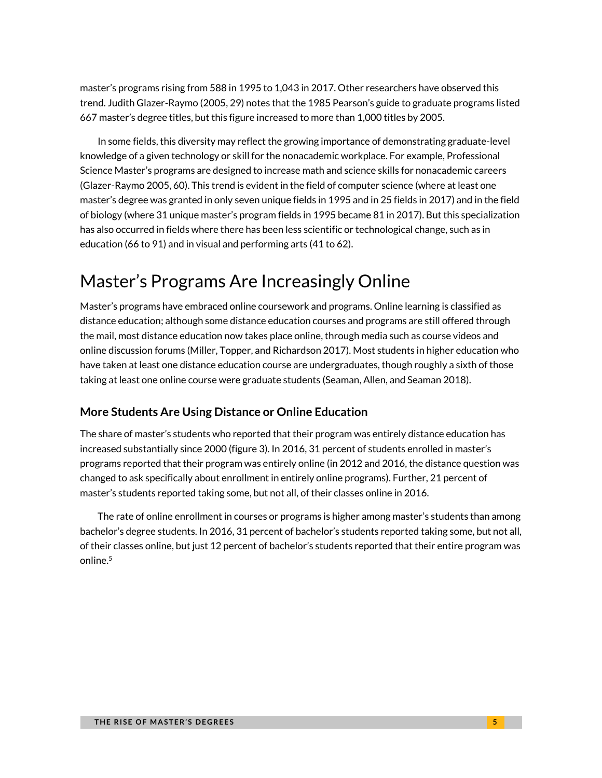master's programs rising from 588 in 1995 to 1,043 in 2017. Other researchers have observed this trend. Judith Glazer-Raymo (2005, 29) notes that the 1985 Pearson's guide to graduate programs listed 667 master's degree titles, but this figure increased to more than 1,000 titles by 2005.

In some fields, this diversity may reflect the growing importance of demonstrating graduate-level knowledge of a given technology or skill for the nonacademic workplace. For example, Professional Science Master's programs are designed to increase math and science skills for nonacademic careers (Glazer-Raymo 2005, 60). This trend is evident in the field of computer science (where at least one master's degree was granted in only seven unique fields in 1995 and in 25 fields in 2017) and in the field of biology (where 31 unique master's program fields in 1995 became 81 in 2017). But this specialization has also occurred in fields where there has been less scientific or technological change, such as in education (66 to 91) and in visual and performing arts (41 to 62).

# Master's Programs Are Increasingly Online

Master's programs have embraced online coursework and programs. Online learning is classified as distance education; although some distance education courses and programs are still offered through the mail, most distance education now takes place online, through media such as course videos and online discussion forums (Miller, Topper, and Richardson 2017). Most students in higher education who have taken at least one distance education course are undergraduates, though roughly a sixth of those taking at least one online course were graduate students (Seaman, Allen, and Seaman 2018).

### **More Students Are Using Distance or Online Education**

The share of master's students who reported that their program was entirely distance education has increased substantially since 2000 (figure 3). In 2016, 31 percent of students enrolled in master's programs reported that their program was entirely online (in 2012 and 2016, the distance question was changed to ask specifically about enrollment in entirely online programs). Further, 21 percent of master's students reported taking some, but not all, of their classes online in 2016.

The rate of online enrollment in courses or programs is higher among master's students than among bachelor's degree students. In 2016, 31 percent of bachelor's students reported taking some, but not all, of their classes online, but just 12 percent of bachelor's students reported that their entire program was online.<sup>5</sup>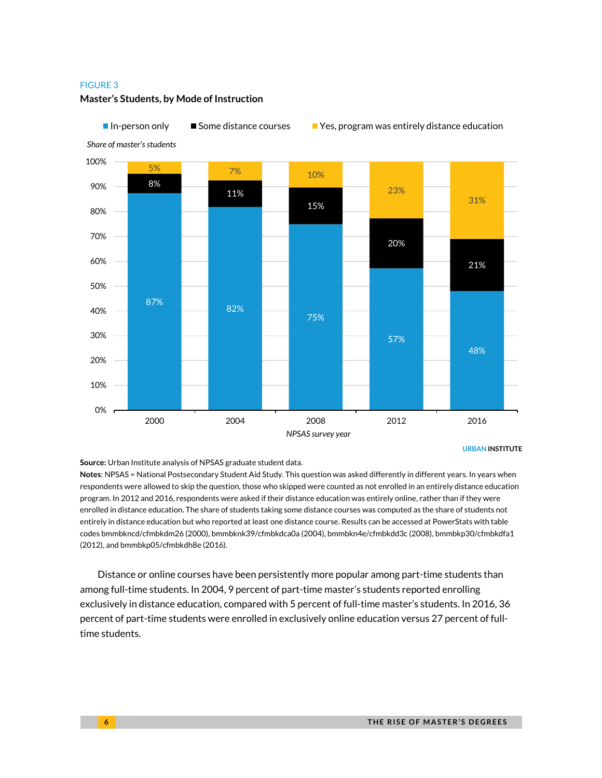![](_page_5_Figure_1.jpeg)

#### **Master's Students, by Mode of Instruction**

**Source:** Urban Institute analysis of NPSAS graduate student data.

**Notes**: NPSAS = National Postsecondary Student Aid Study. This question was asked differently in different years. In years when respondents were allowed to skip the question, those who skipped were counted as not enrolled in an entirely distance education program. In 2012 and 2016, respondents were asked if their distance education was entirely online, rather than if they were enrolled in distance education. The share of students taking some distance courses was computed as the share of students not entirely in distance education but who reported at least one distance course. Results can be accessed at PowerStats with table codes bmmbkncd/cfmbkdm26 (2000), bmmbknk39/cfmbkdca0a (2004), bmmbkn4e/cfmbkdd3c (2008), bmmbkp30/cfmbkdfa1 (2012), and bmmbkp05/cfmbkdh8e (2016).

Distance or online courses have been persistently more popular among part-time students than among full-time students. In 2004, 9 percent of part-time master's students reported enrolling exclusively in distance education, compared with 5 percent of full-time master's students. In 2016, 36 percent of part-time students were enrolled in exclusively online education versus 27 percent of fulltime students.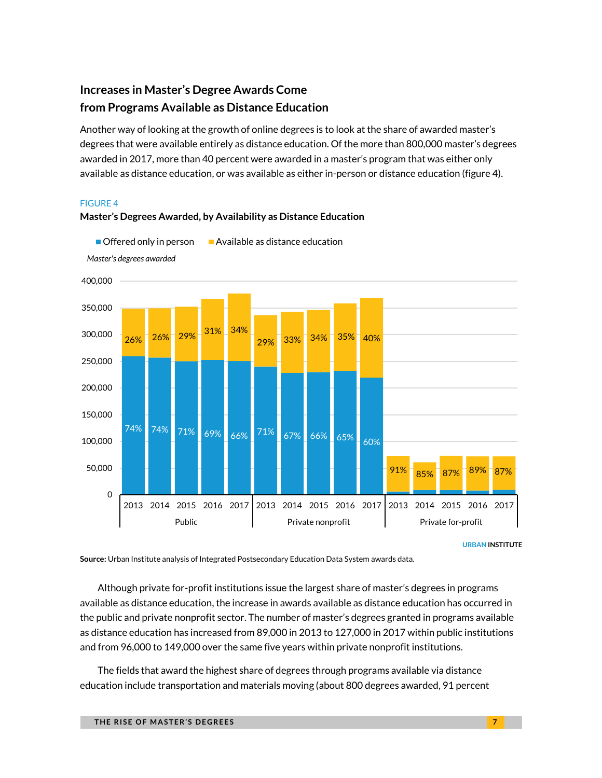## **Increases in Master's Degree Awards Come from Programs Available as Distance Education**

Another way of looking at the growth of online degrees is to look at the share of awarded master's degrees that were available entirely as distance education. Of the more than 800,000 master's degrees awarded in 2017, more than 40 percent were awarded in a master's program that was either only available as distance education, or was available as either in-person or distance education (figure 4).

#### FIGURE 4

![](_page_6_Figure_3.jpeg)

**Master's Degrees Awarded, by Availability as Distance Education**

**URBAN INSTITUTE**

**Source:** Urban Institute analysis of Integrated Postsecondary Education Data System awards data.

Although private for-profit institutions issue the largest share of master's degrees in programs available as distance education, the increase in awards available as distance education has occurred in the public and private nonprofit sector. The number of master's degrees granted in programs available as distance education has increased from 89,000 in 2013 to 127,000 in 2017 within public institutions and from 96,000 to 149,000 over the same five years within private nonprofit institutions.

The fields that award the highest share of degrees through programs available via distance education include transportation and materials moving (about 800 degrees awarded, 91 percent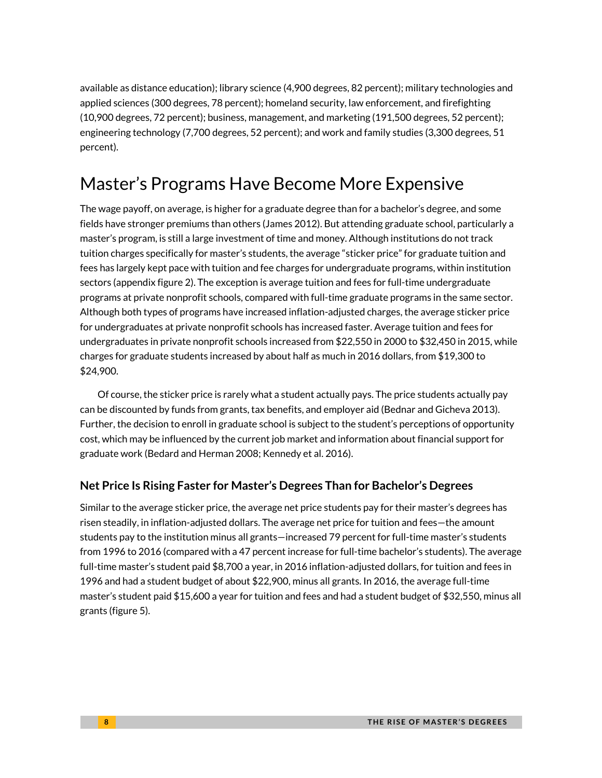available as distance education); library science (4,900 degrees, 82 percent); military technologies and applied sciences (300 degrees, 78 percent); homeland security, law enforcement, and firefighting (10,900 degrees, 72 percent); business, management, and marketing (191,500 degrees, 52 percent); engineering technology (7,700 degrees, 52 percent); and work and family studies (3,300 degrees, 51 percent).

# Master's Programs Have Become More Expensive

The wage payoff, on average, is higher for a graduate degree than for a bachelor's degree, and some fields have stronger premiums than others (James 2012). But attending graduate school, particularly a master's program, is still a large investment of time and money. Although institutions do not track tuition charges specifically for master's students, the average "sticker price" for graduate tuition and fees has largely kept pace with tuition and fee charges for undergraduate programs, within institution sectors (appendix figure 2). The exception is average tuition and fees for full-time undergraduate programs at private nonprofit schools, compared with full-time graduate programs in the same sector. Although both types of programs have increased inflation-adjusted charges, the average sticker price for undergraduates at private nonprofit schools has increased faster. Average tuition and fees for undergraduates in private nonprofit schools increased from \$22,550 in 2000 to \$32,450 in 2015, while charges for graduate students increased by about half as much in 2016 dollars, from \$19,300 to \$24,900.

Of course, the sticker price is rarely what a student actually pays. The price students actually pay can be discounted by funds from grants, tax benefits, and employer aid (Bednar and Gicheva 2013). Further, the decision to enroll in graduate school is subject to the student's perceptions of opportunity cost, which may be influenced by the current job market and information about financial support for graduate work (Bedard and Herman 2008; Kennedy et al. 2016).

### **Net Price Is Rising Faster for Master's Degrees Than for Bachelor's Degrees**

Similar to the average sticker price, the average net price students pay for their master's degrees has risen steadily, in inflation-adjusted dollars. The average net price for tuition and fees—the amount students pay to the institution minus all grants—increased 79 percent for full-time master's students from 1996 to 2016 (compared with a 47 percent increase for full-time bachelor's students). The average full-time master's student paid \$8,700 a year, in 2016 inflation-adjusted dollars, for tuition and fees in 1996 and had a student budget of about \$22,900, minus all grants. In 2016, the average full-time master's student paid \$15,600 a year for tuition and fees and had a student budget of \$32,550, minus all grants (figure 5).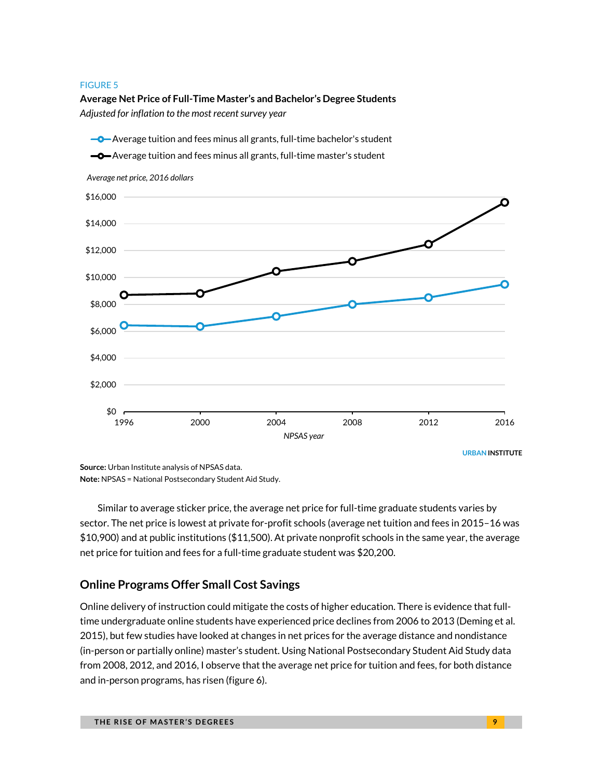### **Average Net Price of Full-Time Master's and Bachelor's Degree Students** *Adjusted for inflation to the most recent survey year*

![](_page_8_Figure_2.jpeg)

**Source:** Urban Institute analysis of NPSAS data. **Note:** NPSAS = National Postsecondary Student Aid Study.

Similar to average sticker price, the average net price for full-time graduate students varies by sector. The net price is lowest at private for-profit schools (average net tuition and fees in 2015–16 was \$10,900) and at public institutions (\$11,500). At private nonprofit schools in the same year, the average net price for tuition and fees for a full-time graduate student was \$20,200.

### **Online Programs Offer Small Cost Savings**

Online delivery of instruction could mitigate the costs of higher education. There is evidence that fulltime undergraduate online students have experienced price declines from 2006 to 2013 (Deming et al. 2015), but few studies have looked at changes in net prices for the average distance and nondistance (in-person or partially online) master's student. Using National Postsecondary Student Aid Study data from 2008, 2012, and 2016, I observe that the average net price for tuition and fees, for both distance and in-person programs, has risen (figure 6).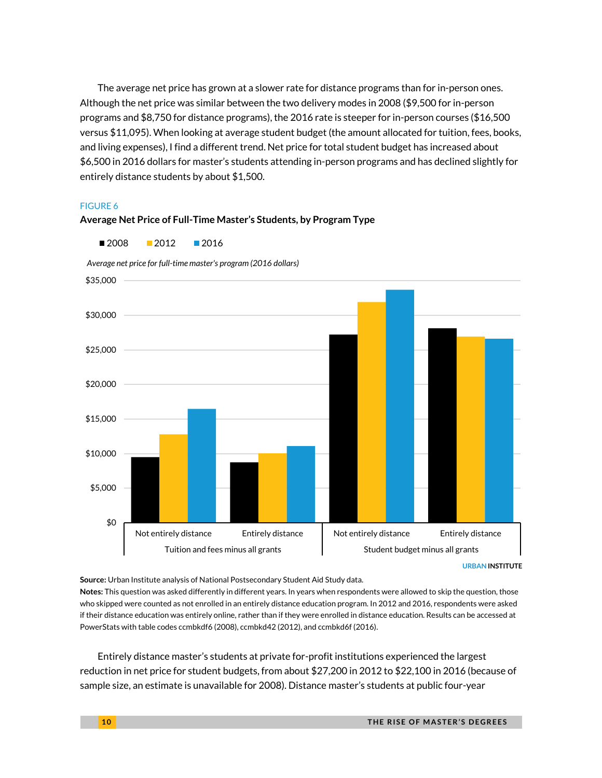The average net price has grown at a slower rate for distance programs than for in-person ones. Although the net price was similar between the two delivery modes in 2008 (\$9,500 for in-person programs and \$8,750 for distance programs), the 2016 rate is steeper for in-person courses (\$16,500 versus \$11,095). When looking at average student budget (the amount allocated for tuition, fees, books, and living expenses), I find a different trend. Net price for total student budget has increased about \$6,500 in 2016 dollars for master's students attending in-person programs and has declined slightly for entirely distance students by about \$1,500.

#### FIGURE 6

![](_page_9_Figure_2.jpeg)

**Average Net Price of Full-Time Master's Students, by Program Type**

**Source:** Urban Institute analysis of National Postsecondary Student Aid Study data.

**Notes:** This question was asked differently in different years. In years when respondents were allowed to skip the question, those who skipped were counted as not enrolled in an entirely distance education program. In 2012 and 2016, respondents were asked if their distance education was entirely online, rather than if they were enrolled in distance education. Results can be accessed at PowerStats with table codes ccmbkdf6 (2008), ccmbkd42 (2012), and ccmbkd6f (2016).

Entirely distance master's students at private for-profit institutions experienced the largest reduction in net price for student budgets, from about \$27,200 in 2012 to \$22,100 in 2016 (because of sample size, an estimate is unavailable for 2008). Distance master's students at public four-year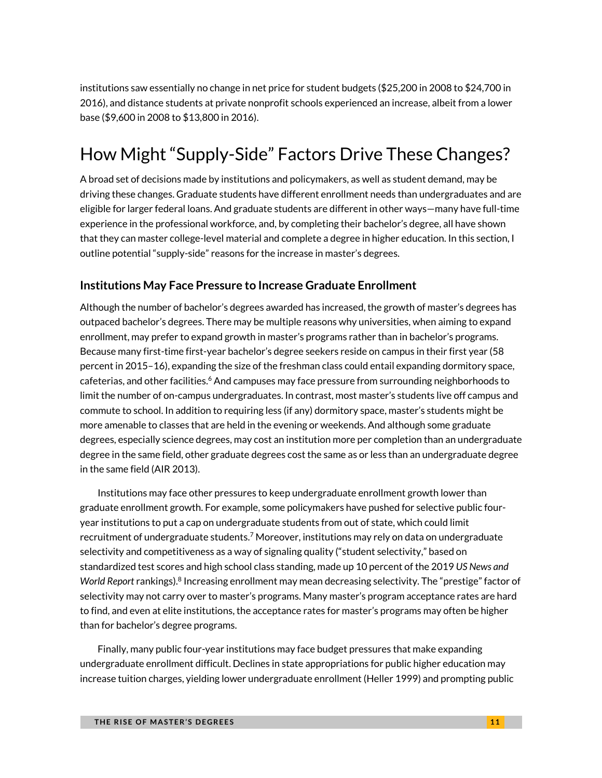institutions saw essentially no change in net price for student budgets (\$25,200 in 2008 to \$24,700 in 2016), and distance students at private nonprofit schools experienced an increase, albeit from a lower base (\$9,600 in 2008 to \$13,800 in 2016).

# How Might "Supply-Side" Factors Drive These Changes?

A broad set of decisions made by institutions and policymakers, as well as student demand, may be driving these changes. Graduate students have different enrollment needs than undergraduates and are eligible for larger federal loans. And graduate students are different in other ways—many have full-time experience in the professional workforce, and, by completing their bachelor's degree, all have shown that they can master college-level material and complete a degree in higher education. In this section, I outline potential "supply-side" reasons for the increase in master's degrees.

### **Institutions May Face Pressure to Increase Graduate Enrollment**

Although the number of bachelor's degrees awarded has increased, the growth of master's degrees has outpaced bachelor's degrees. There may be multiple reasons why universities, when aiming to expand enrollment, may prefer to expand growth in master's programs rather than in bachelor's programs. Because many first-time first-year bachelor's degree seekers reside on campus in their first year (58 percent in 2015–16), expanding the size of the freshman class could entail expanding dormitory space, cafeterias, and other facilities.<sup>6</sup> And campuses may face pressure from surrounding neighborhoods to limit the number of on-campus undergraduates. In contrast, most master's students live off campus and commute to school. In addition to requiring less (if any) dormitory space, master's students might be more amenable to classes that are held in the evening or weekends. And although some graduate degrees, especially science degrees, may cost an institution more per completion than an undergraduate degree in the same field, other graduate degrees cost the same as or less than an undergraduate degree in the same field (AIR 2013).

Institutions may face other pressures to keep undergraduate enrollment growth lower than graduate enrollment growth. For example, some policymakers have pushed for selective public fouryear institutions to put a cap on undergraduate students from out of state, which could limit recruitment of undergraduate students. <sup>7</sup> Moreover, institutions may rely on data on undergraduate selectivity and competitiveness as a way of signaling quality ("student selectivity," based on standardized test scores and high school class standing, made up 10 percent of the 2019 *US News and*  World Report rankings).<sup>8</sup> Increasing enrollment may mean decreasing selectivity. The "prestige" factor of selectivity may not carry over to master's programs. Many master's program acceptance rates are hard to find, and even at elite institutions, the acceptance rates for master's programs may often be higher than for bachelor's degree programs.

Finally, many public four-year institutions may face budget pressures that make expanding undergraduate enrollment difficult. Declines in state appropriations for public higher education may increase tuition charges, yielding lower undergraduate enrollment (Heller 1999) and prompting public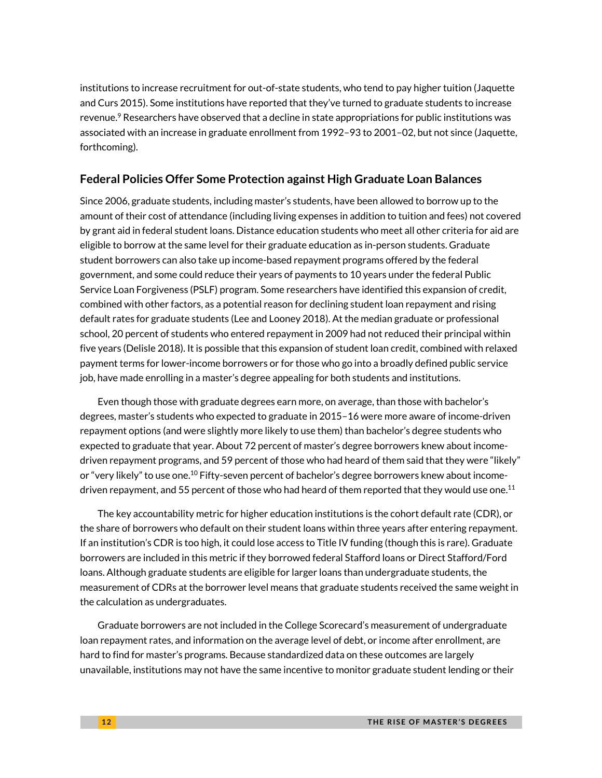institutions to increase recruitment for out-of-state students, who tend to pay higher tuition (Jaquette and Curs 2015). Some institutions have reported that they've turned to graduate students to increase revenue.<sup>9</sup> Researchers have observed that a decline in state appropriations for public institutions was associated with an increase in graduate enrollment from 1992–93 to 2001–02, but not since (Jaquette, forthcoming).

### **Federal Policies Offer Some Protection against High Graduate Loan Balances**

Since 2006, graduate students, including master's students, have been allowed to borrow up to the amount of their cost of attendance (including living expenses in addition to tuition and fees) not covered by grant aid in federal student loans. Distance education students who meet all other criteria for aid are eligible to borrow at the same level for their graduate education as in-person students. Graduate student borrowers can also take up income-based repayment programs offered by the federal government, and some could reduce their years of payments to 10 years under the federal Public Service Loan Forgiveness (PSLF) program. Some researchers have identified this expansion of credit, combined with other factors, as a potential reason for declining student loan repayment and rising default rates for graduate students (Lee and Looney 2018). At the median graduate or professional school, 20 percent of students who entered repayment in 2009 had not reduced their principal within five years (Delisle 2018). It is possible that this expansion of student loan credit, combined with relaxed payment terms for lower-income borrowers or for those who go into a broadly defined public service job, have made enrolling in a master's degree appealing for both students and institutions.

Even though those with graduate degrees earn more, on average, than those with bachelor's degrees, master's students who expected to graduate in 2015–16 were more aware of income-driven repayment options (and were slightly more likely to use them) than bachelor's degree students who expected to graduate that year. About 72 percent of master's degree borrowers knew about incomedriven repayment programs, and 59 percent of those who had heard of them said that they were "likely" or "very likely" to use one.<sup>10</sup> Fifty-seven percent of bachelor's degree borrowers knew about incomedriven repayment, and 55 percent of those who had heard of them reported that they would use one. $^{11}$ 

The key accountability metric for higher education institutions is the cohort default rate (CDR), or the share of borrowers who default on their student loans within three years after entering repayment. If an institution's CDR is too high, it could lose access to Title IV funding (though this is rare). Graduate borrowers are included in this metric if they borrowed federal Stafford loans or Direct Stafford/Ford loans. Although graduate students are eligible for larger loans than undergraduate students, the measurement of CDRs at the borrower level means that graduate students received the same weight in the calculation as undergraduates.

Graduate borrowers are not included in the College Scorecard's measurement of undergraduate loan repayment rates, and information on the average level of debt, or income after enrollment, are hard to find for master's programs. Because standardized data on these outcomes are largely unavailable, institutions may not have the same incentive to monitor graduate student lending or their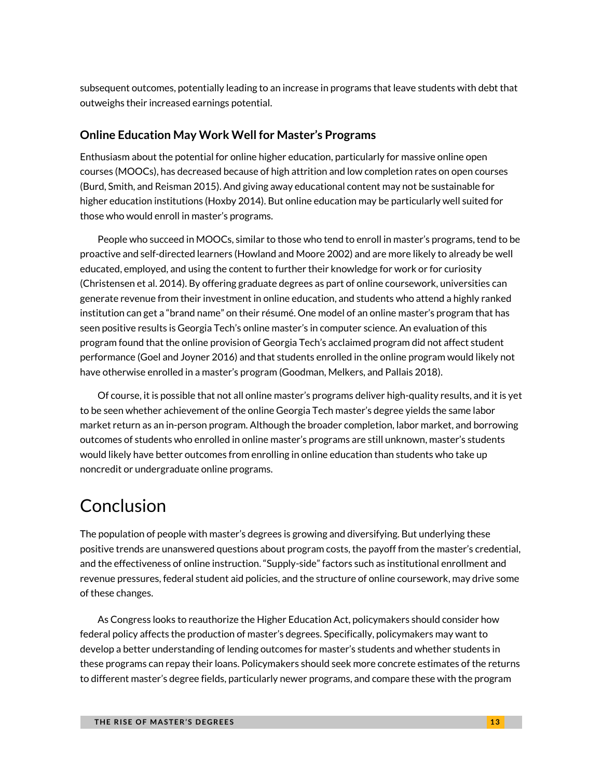subsequent outcomes, potentially leading to an increase in programs that leave students with debt that outweighs their increased earnings potential.

### **Online Education May Work Well for Master's Programs**

Enthusiasm about the potential for online higher education, particularly for massive online open courses (MOOCs), has decreased because of high attrition and low completion rates on open courses (Burd, Smith, and Reisman 2015). And giving away educational content may not be sustainable for higher education institutions (Hoxby 2014). But online education may be particularly well suited for those who would enroll in master's programs.

People who succeed in MOOCs, similar to those who tend to enroll in master's programs, tend to be proactive and self-directed learners (Howland and Moore 2002) and are more likely to already be well educated, employed, and using the content to further their knowledge for work or for curiosity (Christensen et al. 2014). By offering graduate degrees as part of online coursework, universities can generate revenue from their investment in online education, and students who attend a highly ranked institution can get a "brand name" on their résumé. One model of an online master's program that has seen positive results is Georgia Tech's online master's in computer science. An evaluation of this program found that the online provision of Georgia Tech's acclaimed program did not affect student performance (Goel and Joyner 2016) and that students enrolled in the online program would likely not have otherwise enrolled in a master's program (Goodman, Melkers, and Pallais 2018).

Of course, it is possible that not all online master's programs deliver high-quality results, and it is yet to be seen whether achievement of the online Georgia Tech master's degree yields the same labor market return as an in-person program. Although the broader completion, labor market, and borrowing outcomes of students who enrolled in online master's programs are still unknown, master's students would likely have better outcomes from enrolling in online education than students who take up noncredit or undergraduate online programs.

# Conclusion

The population of people with master's degrees is growing and diversifying. But underlying these positive trends are unanswered questions about program costs, the payoff from the master's credential, and the effectiveness of online instruction. "Supply-side" factors such as institutional enrollment and revenue pressures, federal student aid policies, and the structure of online coursework, may drive some of these changes.

As Congress looks to reauthorize the Higher Education Act, policymakers should consider how federal policy affects the production of master's degrees. Specifically, policymakers may want to develop a better understanding of lending outcomes for master's students and whether students in these programs can repay their loans. Policymakers should seek more concrete estimates of the returns to different master's degree fields, particularly newer programs, and compare these with the program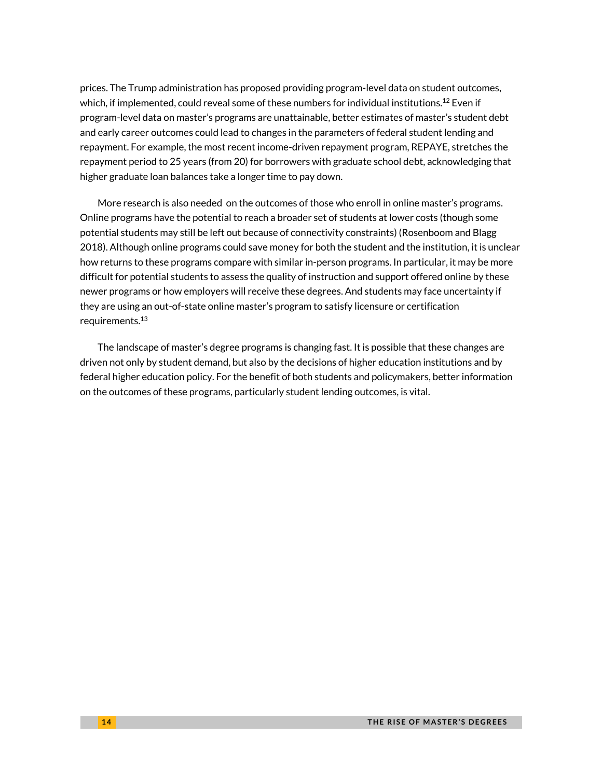prices. The Trump administration has proposed providing program-level data on student outcomes, which, if implemented, could reveal some of these numbers for individual institutions. $^{12}$  Even if program-level data on master's programs are unattainable, better estimates of master's student debt and early career outcomes could lead to changes in the parameters of federal student lending and repayment. For example, the most recent income-driven repayment program, REPAYE, stretches the repayment period to 25 years (from 20) for borrowers with graduate school debt, acknowledging that higher graduate loan balances take a longer time to pay down.

More research is also needed on the outcomes of those who enroll in online master's programs. Online programs have the potential to reach a broader set of students at lower costs (though some potential students may still be left out because of connectivity constraints) (Rosenboom and Blagg 2018). Although online programs could save money for both the student and the institution, it is unclear how returns to these programs compare with similar in-person programs. In particular, it may be more difficult for potential students to assess the quality of instruction and support offered online by these newer programs or how employers will receive these degrees. And students may face uncertainty if they are using an out-of-state online master's program to satisfy licensure or certification requirements. 13

The landscape of master's degree programs is changing fast. It is possible that these changes are driven not only by student demand, but also by the decisions of higher education institutions and by federal higher education policy. For the benefit of both students and policymakers, better information on the outcomes of these programs, particularly student lending outcomes, is vital.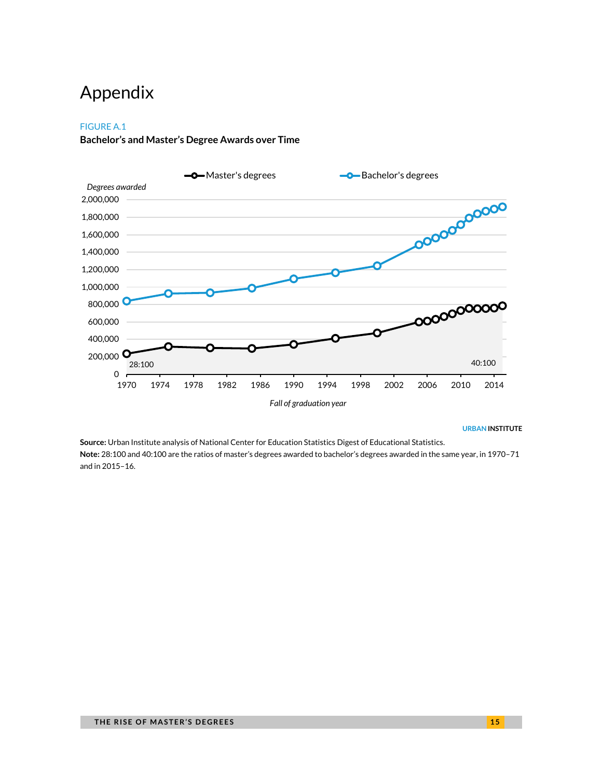# Appendix

#### FIGURE A.1

#### **Bachelor's and Master's Degree Awards over Time**

![](_page_14_Figure_3.jpeg)

#### **URBAN INSTITUTE**

**Source:** Urban Institute analysis of National Center for Education Statistics Digest of Educational Statistics. **Note:** 28:100 and 40:100 are the ratios of master's degrees awarded to bachelor's degrees awarded in the same year, in 1970–71 and in 2015–16.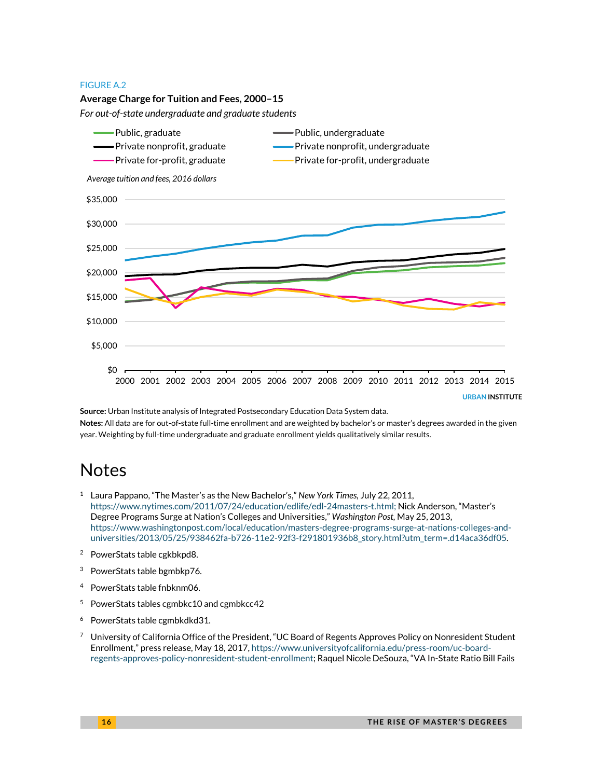#### FIGURE A.2

![](_page_15_Figure_1.jpeg)

**Source:** Urban Institute analysis of Integrated Postsecondary Education Data System data. **Notes:** All data are for out-of-state full-time enrollment and are weighted by bachelor's or master's degrees awarded in the given year. Weighting by full-time undergraduate and graduate enrollment yields qualitatively similar results.

# **Notes**

- <sup>1</sup> Laura Pappano, "The Master's as the New Bachelor's," *New York Times,* July 22, 2011, [https://www.nytimes.com/2011/07/24/education/edlife/edl-24masters-t.html;](https://www.nytimes.com/2011/07/24/education/edlife/edl-24masters-t.html) Nick Anderson, "Master's Degree Programs Surge at Nation's Colleges and Universities," *Washington Post,* May 25, 2013, [https://www.washingtonpost.com/local/education/masters-degree-programs-surge-at-nations-colleges-and](https://www.washingtonpost.com/local/education/masters-degree-programs-surge-at-nations-colleges-and-universities/2013/05/25/938462fa-b726-11e2-92f3-f291801936b8_story.html?utm_term=.d14aca36df05)[universities/2013/05/25/938462fa-b726-11e2-92f3-f291801936b8\\_story.html?utm\\_term=.d14aca36df05.](https://www.washingtonpost.com/local/education/masters-degree-programs-surge-at-nations-colleges-and-universities/2013/05/25/938462fa-b726-11e2-92f3-f291801936b8_story.html?utm_term=.d14aca36df05)
- <sup>2</sup> PowerStats table cgkbkpd8.
- <sup>3</sup> PowerStats table bgmbkp76.
- <sup>4</sup> PowerStats table fnbknm06.
- <sup>5</sup> PowerStats tables cgmbkc10 and cgmbkcc42
- <sup>6</sup> PowerStats table cgmbkdkd31.
- <sup>7</sup> University of California Office of the President, "UC Board of Regents Approves Policy on Nonresident Student Enrollment," press release, May 18, 2017, [https://www.universityofcalifornia.edu/press-room/uc-board](https://www.universityofcalifornia.edu/press-room/uc-board-regents-approves-policy-nonresident-student-enrollment)[regents-approves-policy-nonresident-student-enrollment;](https://www.universityofcalifornia.edu/press-room/uc-board-regents-approves-policy-nonresident-student-enrollment) Raquel Nicole DeSouza, "VA In-State Ratio Bill Fails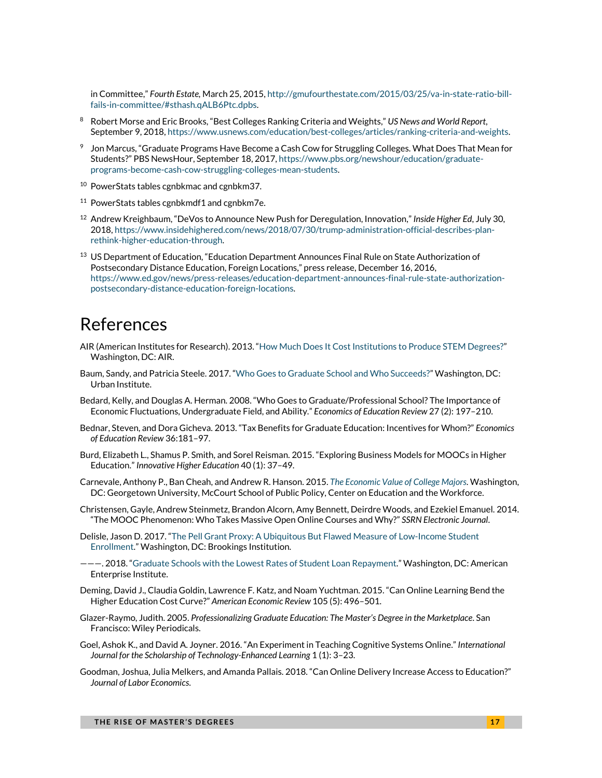in Committee," *Fourth Estate,* March 25, 2015[, http://gmufourthestate.com/2015/03/25/va-in-state-ratio-bill](http://gmufourthestate.com/2015/03/25/va-in-state-ratio-bill-fails-in-committee/#sthash.qALB6Ptc.dpbs)[fails-in-committee/#sthash.qALB6Ptc.dpbs.](http://gmufourthestate.com/2015/03/25/va-in-state-ratio-bill-fails-in-committee/#sthash.qALB6Ptc.dpbs)

- <sup>8</sup> Robert Morse and Eric Brooks, "Best Colleges Ranking Criteria and Weights," *US News and World Report*, September 9, 2018[, https://www.usnews.com/education/best-colleges/articles/ranking-criteria-and-weights.](https://www.usnews.com/education/best-colleges/articles/ranking-criteria-and-weights)
- $9$  Jon Marcus, "Graduate Programs Have Become a Cash Cow for Struggling Colleges. What Does That Mean for Students?" PBS NewsHour, September 18, 2017, [https://www.pbs.org/newshour/education/graduate](https://www.pbs.org/newshour/education/graduate-programs-become-cash-cow-struggling-colleges-mean-students)[programs-become-cash-cow-struggling-colleges-mean-students.](https://www.pbs.org/newshour/education/graduate-programs-become-cash-cow-struggling-colleges-mean-students)
- <sup>10</sup> PowerStats tables cgnbkmac and cgnbkm37.
- <sup>11</sup> PowerStats tables cgnbkmdf1 and cgnbkm7e.
- <sup>12</sup> Andrew Kreighbaum, "DeVos to Announce New Push for Deregulation, Innovation," *Inside Higher Ed*, July 30, 2018[, https://www.insidehighered.com/news/2018/07/30/trump-administration-official-describes-plan](https://www.insidehighered.com/news/2018/07/30/trump-administration-official-describes-plan-rethink-higher-education-through)[rethink-higher-education-through.](https://www.insidehighered.com/news/2018/07/30/trump-administration-official-describes-plan-rethink-higher-education-through)
- <sup>13</sup> US Department of Education, "Education Department Announces Final Rule on State Authorization of Postsecondary Distance Education, Foreign Locations," press release, December 16, 2016, [https://www.ed.gov/news/press-releases/education-department-announces-final-rule-state-authorization](https://www.ed.gov/news/press-releases/education-department-announces-final-rule-state-authorization-postsecondary-distance-education-foreign-locations)[postsecondary-distance-education-foreign-locations.](https://www.ed.gov/news/press-releases/education-department-announces-final-rule-state-authorization-postsecondary-distance-education-foreign-locations)

# References

- AIR (American Institutes for Research). 2013. "[How Much Does It Cost Institutions to Produce STEM Degrees?](https://deltacostproject.org/sites/default/files/products/Cost%20to%20Institutions%20of%20STEM%20Degrees.pdf)" Washington, DC: AIR.
- Baum, Sandy, and Patricia Steele. 2017. "[Who Goes to Graduate School and Who Succeeds?](https://www.urban.org/research/publication/who-goes-graduate-school-and-who-succeeds)" Washington, DC: Urban Institute.
- Bedard, Kelly, and Douglas A. Herman. 2008. "Who Goes to Graduate/Professional School? The Importance of Economic Fluctuations, Undergraduate Field, and Ability." *Economics of Education Review* 27 (2): 197–210.
- Bednar, Steven, and Dora Gicheva. 2013. "Tax Benefits for Graduate Education: Incentives for Whom?" *Economics of Education Review* 36:181–97.
- Burd, Elizabeth L., Shamus P. Smith, and Sorel Reisman. 2015. "Exploring Business Models for MOOCs in Higher Education." *Innovative Higher Education* 40 (1): 37–49.
- Carnevale, Anthony P., Ban Cheah, and Andrew R. Hanson. 2015. *[The Economic Value of College Majors](https://cew.georgetown.edu/cew-reports/valueofcollegemajors/)*. Washington, DC: Georgetown University, McCourt School of Public Policy, Center on Education and the Workforce.
- Christensen, Gayle, Andrew Steinmetz, Brandon Alcorn, Amy Bennett, Deirdre Woods, and Ezekiel Emanuel. 2014. "The MOOC Phenomenon: Who Takes Massive Open Online Courses and Why?" *SSRN Electronic Journal*.
- Delisle, Jason D. 2017. "[The](http://www.aei.org/publication/graduate-schools-with-the-lowest-rates-of-student-loan-repayment/) Pell Grant Proxy: A Ubiquitous But Flawed Measure of Low-Income Student Enrollment." Washington, DC: Brookings Institution.
- ———. 2018. "[Graduate Schools with the Lowest Rates of Student Loan Repayment.](http://www.aei.org/publication/graduate-schools-with-the-lowest-rates-of-student-loan-repayment/)" Washington, DC: American Enterprise Institute.
- Deming, David J., Claudia Goldin, Lawrence F. Katz, and Noam Yuchtman. 2015. "Can Online Learning Bend the Higher Education Cost Curve?" *American Economic Review* 105 (5): 496–501.
- Glazer-Raymo, Judith. 2005. *Professionalizing Graduate Education: The Master's Degree in the Marketplace*. San Francisco: Wiley Periodicals.
- Goel, Ashok K., and David A. Joyner. 2016. "An Experiment in Teaching Cognitive Systems Online." *International Journal for the Scholarship of Technology-Enhanced Learning* 1 (1): 3–23.
- Goodman, Joshua, Julia Melkers, and Amanda Pallais. 2018. "Can Online Delivery Increase Access to Education?" *Journal of Labor Economics*.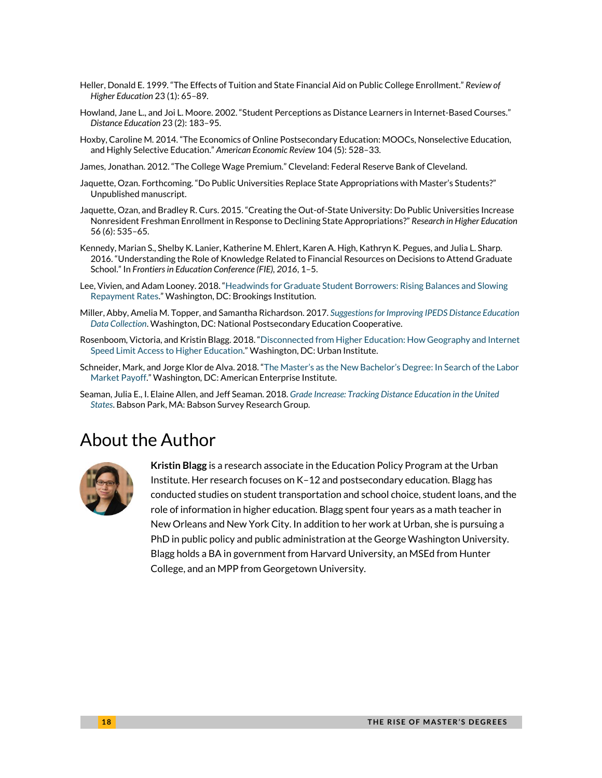- Heller, Donald E. 1999. "The Effects of Tuition and State Financial Aid on Public College Enrollment." *Review of Higher Education* 23 (1): 65–89.
- Howland, Jane L., and Joi L. Moore. 2002. "Student Perceptions as Distance Learners in Internet-Based Courses." *Distance Education* 23 (2): 183–95.
- Hoxby, Caroline M. 2014. "The Economics of Online Postsecondary Education: MOOCs, Nonselective Education, and Highly Selective Education." *American Economic Review* 104 (5): 528–33.
- James, Jonathan. 2012. "The College Wage Premium." Cleveland: Federal Reserve Bank of Cleveland.
- Jaquette, Ozan. Forthcoming. "Do Public Universities Replace State Appropriations with Master's Students?" Unpublished manuscript.
- Jaquette, Ozan, and Bradley R. Curs. 2015. "Creating the Out-of-State University: Do Public Universities Increase Nonresident Freshman Enrollment in Response to Declining State Appropriations?" *Research in Higher Education* 56 (6): 535–65.
- Kennedy, Marian S., Shelby K. Lanier, Katherine M. Ehlert, Karen A. High, Kathryn K. Pegues, and Julia L. Sharp. 2016. "Understanding the Role of Knowledge Related to Financial Resources on Decisions to Attend Graduate School." In *Frontiers in Education Conference (FIE), 2016*, 1–5.
- Lee, Vivien, and Adam Looney. 2018. "[Headwinds for Graduate Student Borrowers: Rising Balances and Slowing](https://www.brookings.edu/research/headwinds-for-graduate-student-borrowers-rising-balances-and-slowing-repayment-rates/)  [Repayment Rates.](https://www.brookings.edu/research/headwinds-for-graduate-student-borrowers-rising-balances-and-slowing-repayment-rates/)" Washington, DC: Brookings Institution.
- Miller, Abby, Amelia M. Topper, and Samantha Richardson. 2017. *[Suggestionsfor Improving IPEDS Distance Education](https://nces.ed.gov/ipeds/pdf/NPEC/data/NPEC_Paper_IPEDS_Distance_Education_2017.pdf)  [Data Collection](https://nces.ed.gov/ipeds/pdf/NPEC/data/NPEC_Paper_IPEDS_Distance_Education_2017.pdf)*. Washington, DC: National Postsecondary Education Cooperative.
- Rosenboom, Victoria, and Kristin Blagg. 2018. "[Disconnected from Higher Education: How Geography and Internet](https://www.urban.org/research/publication/disconnected-higher-education)  [Speed Limit Access to Higher Education.](https://www.urban.org/research/publication/disconnected-higher-education)" Washington, DC: Urban Institute.
- Schneider, Mark, and Jorge Klor de Alva. 2018. "The Master's as the New Bachelor's [Degree: In Search of the Labor](http://www.aei.org/publication/the-masters-as-the-new-bachelors-degree-in-search-of-the-labor-market-payoff/)  [Market Payoff.](http://www.aei.org/publication/the-masters-as-the-new-bachelors-degree-in-search-of-the-labor-market-payoff/)" Washington, DC: American Enterprise Institute.
- Seaman, Julia E., I. Elaine Allen, and Jeff Seaman. 2018. *[Grade Increase: Tracking Distance Education in the United](https://onlinelearningsurvey.com/reports/gradeincrease.pdf)  [States](https://onlinelearningsurvey.com/reports/gradeincrease.pdf)*. Babson Park, MA: Babson Survey Research Group.

# About the Author

![](_page_17_Picture_13.jpeg)

**Kristin Blagg** is a research associate in the Education Policy Program at the Urban Institute. Her research focuses on K–12 and postsecondary education. Blagg has conducted studies on student transportation and school choice, student loans, and the role of information in higher education. Blagg spent four years as a math teacher in New Orleans and New York City. In addition to her work at Urban, she is pursuing a PhD in public policy and public administration at the George Washington University. Blagg holds a BA in government from Harvard University, an MSEd from Hunter College, and an MPP from Georgetown University.